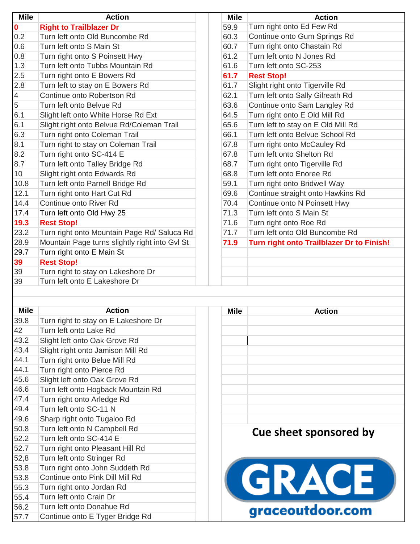| <b>Mile</b>    | <b>Action</b>                                  | <b>Mile</b> | <b>Action</b>                             |
|----------------|------------------------------------------------|-------------|-------------------------------------------|
| $\mathbf 0$    | <b>Right to Trailblazer Dr</b>                 | 59.9        | Turn right onto Ed Few Rd                 |
| 0.2            | Turn left onto Old Buncombe Rd                 | 60.3        | Continue onto Gum Springs Rd              |
| 0.6            | Turn left onto S Main St                       | 60.7        | Turn right onto Chastain Rd               |
| 0.8            | Turn right onto S Poinsett Hwy                 | 61.2        | Turn left onto N Jones Rd                 |
| 1.3            | Turn left onto Tubbs Mountain Rd               | 61.6        | Turn left onto SC-253                     |
| 2.5            | Turn right onto E Bowers Rd                    | 61.7        | <b>Rest Stop!</b>                         |
| 2.8            | Turn left to stay on E Bowers Rd               | 61.7        | Slight right onto Tigerville Rd           |
| $\overline{4}$ | Continue onto Robertson Rd                     | 62.1        | Turn left onto Sally Gilreath Rd          |
| $\overline{5}$ | Turn left onto Belvue Rd                       | 63.6        | Continue onto Sam Langley Rd              |
| 6.1            | Slight left onto White Horse Rd Ext            | 64.5        | Turn right onto E Old Mill Rd             |
| 6.1            | Slight right onto Belvue Rd/Coleman Trail      | 65.6        | Turn left to stay on E Old Mill Rd        |
| 6.3            | Turn right onto Coleman Trail                  | 66.1        | Turn left onto Belvue School Rd           |
| 8.1            | Turn right to stay on Coleman Trail            | 67.8        | Turn right onto McCauley Rd               |
| 8.2            | Turn right onto SC-414 E                       | 67.8        | Turn left onto Shelton Rd                 |
| 8.7            | Turn left onto Talley Bridge Rd                | 68.7        | Turn right onto Tigerville Rd             |
| 10             | Slight right onto Edwards Rd                   | 68.8        | Turn left onto Enoree Rd                  |
| 10.8           | Turn left onto Parnell Bridge Rd               | 59.1        | Turn right onto Bridwell Way              |
| 12.1           | Turn right onto Hart Cut Rd                    | 69.6        | Continue straight onto Hawkins Rd         |
| 14.4           | Continue onto River Rd                         | 70.4        | Continue onto N Poinsett Hwy              |
| 17.4           | Turn left onto Old Hwy 25                      | 71.3        | Turn left onto S Main St                  |
| 19.3           | <b>Rest Stop!</b>                              | 71.6        | Turn right onto Roe Rd                    |
| 23.2           | Turn right onto Mountain Page Rd/ Saluca Rd    | 71.7        | Turn left onto Old Buncombe Rd            |
| 28.9           | Mountain Page turns slightly right into Gvl St | 71.9        | Turn right onto Trailblazer Dr to Finish! |
| 29.7           | Turn right onto E Main St                      |             |                                           |
| 39             | <b>Rest Stop!</b>                              |             |                                           |
| 39             | Turn right to stay on Lakeshore Dr             |             |                                           |
| 39             | Turn left onto E Lakeshore Dr                  |             |                                           |
|                |                                                |             |                                           |
|                |                                                |             |                                           |
| <b>Mile</b>    | <b>Action</b>                                  | <b>Mile</b> | <b>Action</b>                             |
| 39.8           | Turn right to stay on E Lakeshore Dr           |             |                                           |
| 42             | Turn left onto Lake Rd                         |             |                                           |
| 43.2           | Slight left onto Oak Grove Rd                  |             |                                           |
| 43.4           | Slight right onto Jamison Mill Rd              |             |                                           |
| 44.1           | Turn right onto Belue Mill Rd                  |             |                                           |
| 44.1           | Turn right onto Pierce Rd                      |             |                                           |
| 45.6           | Slight left onto Oak Grove Rd                  |             |                                           |

## 46.6 Turn left onto Hogback Mountain Rd<br>47.4 Turn right onto Arledge Rd Turn right onto Arledge Rd 49.4 Turn left onto SC-11 N 49.6 Sharp right onto Tugaloo Rd<br>50.8 Turn left onto N Campbell Rd 50.8 Turn left onto N Campbell Rd<br>52.2 Turn left onto SC-414 F Turn left onto SC-414 F

| ul.l | <u>i ulili icil villo OO-TIT L</u> |
|------|------------------------------------|
| 52.7 | Turn right onto Pleasant Hill Rd   |
| 52,8 | Turn left onto Stringer Rd         |
| 53.8 | Turn right onto John Suddeth Rd    |
| 53.8 | Continue onto Pink Dill Mill Rd    |
| 55.3 | Turn right onto Jordan Rd          |
| 55.4 | Turn left onto Crain Dr            |
| 56.2 | Turn left onto Donahue Rd          |
| 57.7 | Continue onto E Tyger Bridge Rd    |
|      |                                    |

| мне | Action                 |
|-----|------------------------|
|     |                        |
|     |                        |
|     |                        |
|     |                        |
|     |                        |
|     |                        |
|     |                        |
|     |                        |
|     |                        |
|     |                        |
|     |                        |
|     | Cue sheet sponsored by |
|     |                        |
|     |                        |
|     |                        |
|     |                        |
|     | GRACE                  |
|     |                        |
|     | raceoutdoor.com        |
|     |                        |